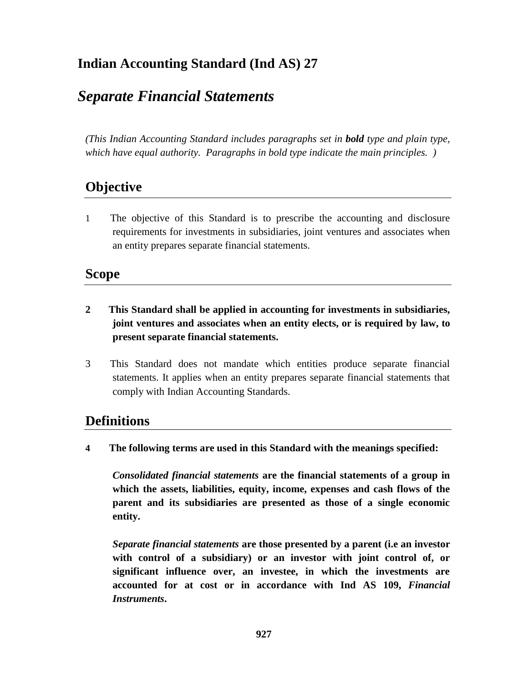# **Indian Accounting Standard (Ind AS) 27**

# *Separate Financial Statements*

*(This Indian Accounting Standard includes paragraphs set in bold type and plain type, which have equal authority. Paragraphs in bold type indicate the main principles. )*

# **Objective**

1 The objective of this Standard is to prescribe the accounting and disclosure requirements for investments in subsidiaries, joint ventures and associates when an entity prepares separate financial statements.

## **Scope**

- **2 This Standard shall be applied in accounting for investments in subsidiaries, joint ventures and associates when an entity elects, or is required by law, to present separate financial statements.**
- 3 This Standard does not mandate which entities produce separate financial statements. It applies when an entity prepares separate financial statements that comply with Indian Accounting Standards.

### **Definitions**

**4 The following terms are used in this Standard with the meanings specified:**

*Consolidated financial statements* **are the financial statements of a group in which the assets, liabilities, equity, income, expenses and cash flows of the parent and its subsidiaries are presented as those of a single economic entity.**

*Separate financial statements* **are those presented by a parent (i.e an investor with control of a subsidiary) or an investor with joint control of, or significant influence over, an investee, in which the investments are accounted for at cost or in accordance with Ind AS 109,** *Financial Instruments***.**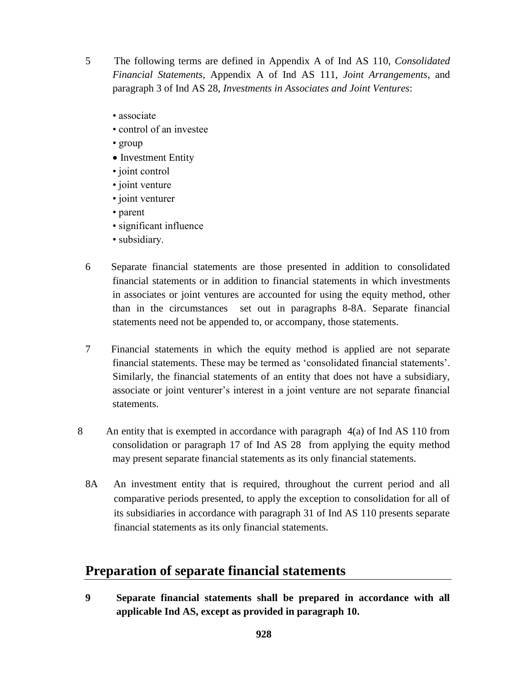5 The following terms are defined in Appendix A of Ind AS 110, *Consolidated Financial Statements*, Appendix A of Ind AS 111, *Joint Arrangements,* and paragraph 3 of Ind AS 28, *Investments in Associates and Joint Ventures*:

- associate
- control of an investee
- group
- Investment Entity
- joint control
- joint venture
- joint venturer
- parent
- significant influence
- subsidiary.
- 6 Separate financial statements are those presented in addition to consolidated financial statements or in addition to financial statements in which investments in associates or joint ventures are accounted for using the equity method, other than in the circumstances set out in paragraphs 8-8A. Separate financial statements need not be appended to, or accompany, those statements.
- 7 Financial statements in which the equity method is applied are not separate financial statements. These may be termed as 'consolidated financial statements'. Similarly, the financial statements of an entity that does not have a subsidiary, associate or joint venturer's interest in a joint venture are not separate financial statements.
- 8 An entity that is exempted in accordance with paragraph 4(a) of Ind AS 110 from consolidation or paragraph 17 of Ind AS 28 from applying the equity method may present separate financial statements as its only financial statements.
	- 8A An investment entity that is required, throughout the current period and all comparative periods presented, to apply the exception to consolidation for all of its subsidiaries in accordance with paragraph 31 of Ind AS 110 presents separate financial statements as its only financial statements.

#### **Preparation of separate financial statements**

**9 Separate financial statements shall be prepared in accordance with all applicable Ind AS, except as provided in paragraph 10.**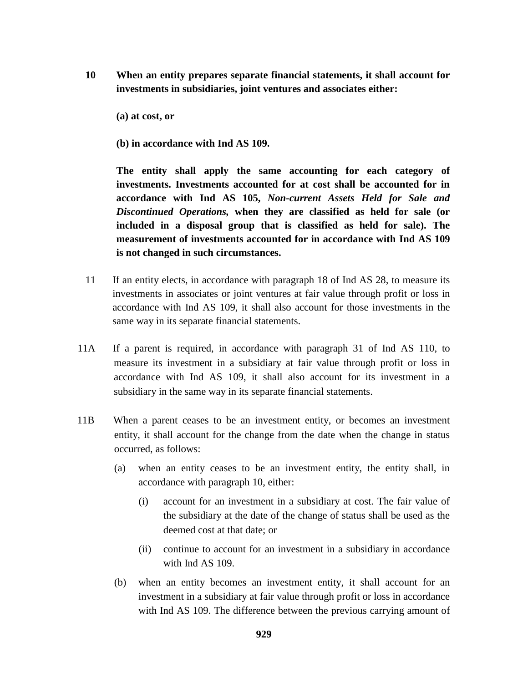- **10 When an entity prepares separate financial statements, it shall account for investments in subsidiaries, joint ventures and associates either:**
	- **(a) at cost, or**
	- **(b) in accordance with Ind AS 109.**

**The entity shall apply the same accounting for each category of investments. Investments accounted for at cost shall be accounted for in accordance with Ind AS 105,** *Non-current Assets Held for Sale and Discontinued Operations,* **when they are classified as held for sale (or included in a disposal group that is classified as held for sale). The measurement of investments accounted for in accordance with Ind AS 109 is not changed in such circumstances.**

- 11 If an entity elects, in accordance with paragraph 18 of Ind AS 28, to measure its investments in associates or joint ventures at fair value through profit or loss in accordance with Ind AS 109, it shall also account for those investments in the same way in its separate financial statements.
- 11A If a parent is required, in accordance with paragraph 31 of Ind AS 110, to measure its investment in a subsidiary at fair value through profit or loss in accordance with Ind AS 109, it shall also account for its investment in a subsidiary in the same way in its separate financial statements.
- 11B When a parent ceases to be an investment entity, or becomes an investment entity, it shall account for the change from the date when the change in status occurred, as follows:
	- (a) when an entity ceases to be an investment entity, the entity shall, in accordance with paragraph 10, either:
		- (i) account for an investment in a subsidiary at cost. The fair value of the subsidiary at the date of the change of status shall be used as the deemed cost at that date; or
		- (ii) continue to account for an investment in a subsidiary in accordance with Ind AS 109.
	- (b) when an entity becomes an investment entity, it shall account for an investment in a subsidiary at fair value through profit or loss in accordance with Ind AS 109. The difference between the previous carrying amount of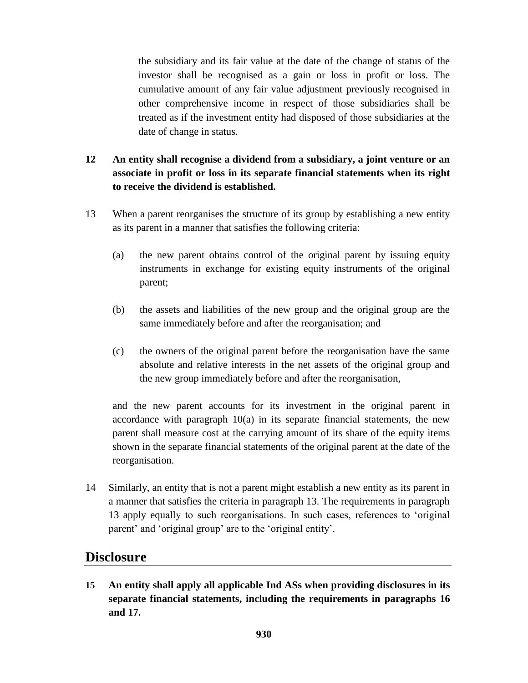the subsidiary and its fair value at the date of the change of status of the investor shall be recognised as a gain or loss in profit or loss. The cumulative amount of any fair value adjustment previously recognised in other comprehensive income in respect of those subsidiaries shall be treated as if the investment entity had disposed of those subsidiaries at the date of change in status.

#### **12 An entity shall recognise a dividend from a subsidiary, a joint venture or an associate in profit or loss in its separate financial statements when its right to receive the dividend is established.**

- 13 When a parent reorganises the structure of its group by establishing a new entity as its parent in a manner that satisfies the following criteria:
	- (a) the new parent obtains control of the original parent by issuing equity instruments in exchange for existing equity instruments of the original parent;
	- (b) the assets and liabilities of the new group and the original group are the same immediately before and after the reorganisation; and
	- (c) the owners of the original parent before the reorganisation have the same absolute and relative interests in the net assets of the original group and the new group immediately before and after the reorganisation,

and the new parent accounts for its investment in the original parent in accordance with paragraph  $10(a)$  in its separate financial statements, the new parent shall measure cost at the carrying amount of its share of the equity items shown in the separate financial statements of the original parent at the date of the reorganisation.

14 Similarly, an entity that is not a parent might establish a new entity as its parent in a manner that satisfies the criteria in paragraph 13. The requirements in paragraph 13 apply equally to such reorganisations. In such cases, references to 'original parent' and 'original group' are to the 'original entity'.

#### **Disclosure**

**15 An entity shall apply all applicable Ind ASs when providing disclosures in its separate financial statements, including the requirements in paragraphs 16 and 17.**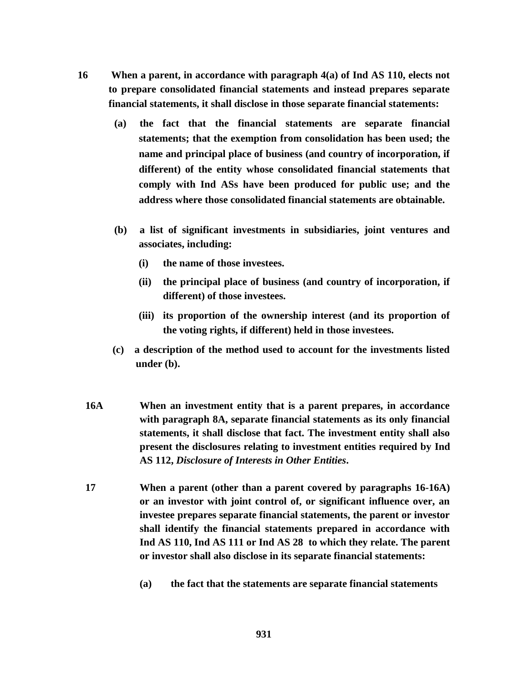- **16 When a parent, in accordance with paragraph 4(a) of Ind AS 110, elects not to prepare consolidated financial statements and instead prepares separate financial statements, it shall disclose in those separate financial statements:** 
	- **(a) the fact that the financial statements are separate financial statements; that the exemption from consolidation has been used; the name and principal place of business (and country of incorporation, if different) of the entity whose consolidated financial statements that comply with Ind ASs have been produced for public use; and the address where those consolidated financial statements are obtainable.**
	- **(b) a list of significant investments in subsidiaries, joint ventures and associates, including:** 
		- **(i) the name of those investees.**
		- **(ii) the principal place of business (and country of incorporation, if different) of those investees.**
		- **(iii) its proportion of the ownership interest (and its proportion of the voting rights, if different) held in those investees.**
	- **(c) a description of the method used to account for the investments listed under (b).**
	- **16A When an investment entity that is a parent prepares, in accordance with paragraph 8A, separate financial statements as its only financial statements, it shall disclose that fact. The investment entity shall also present the disclosures relating to investment entities required by Ind AS 112,** *Disclosure of Interests in Other Entities***.**
	- **17 When a parent (other than a parent covered by paragraphs 16-16A) or an investor with joint control of, or significant influence over, an investee prepares separate financial statements, the parent or investor shall identify the financial statements prepared in accordance with Ind AS 110, Ind AS 111 or Ind AS 28 to which they relate. The parent or investor shall also disclose in its separate financial statements:**
		- **(a) the fact that the statements are separate financial statements**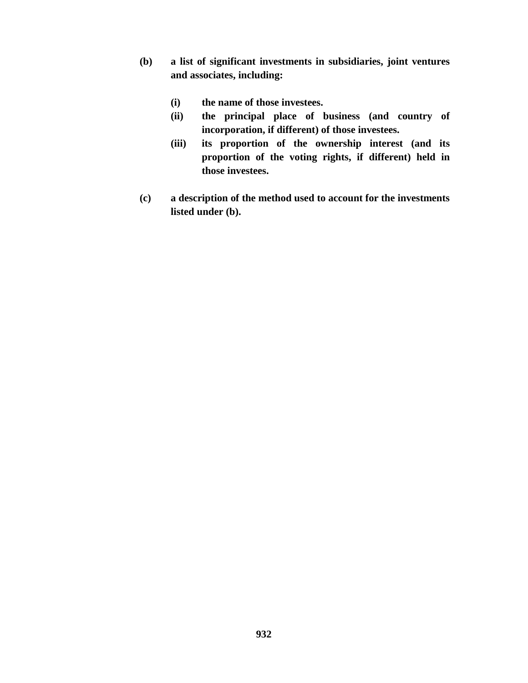- **(b) a list of significant investments in subsidiaries, joint ventures and associates, including:**
	- **(i) the name of those investees.**
	- **(ii) the principal place of business (and country of incorporation, if different) of those investees.**
	- **(iii) its proportion of the ownership interest (and its proportion of the voting rights, if different) held in those investees.**
- **(c) a description of the method used to account for the investments listed under (b).**